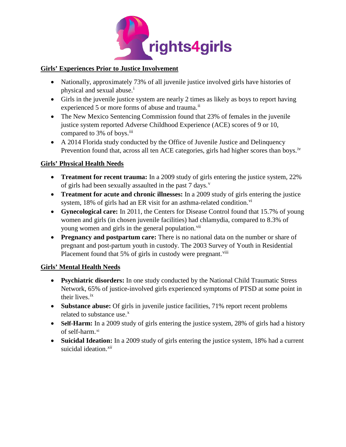

## **Girls' Experiences Prior to Justice Involvement**

- Nationally, approximately 73% of all juvenile justice involved girls have histories of phys[i](#page-1-0)cal and sexual abuse.<sup>i</sup>
- Girls in the juvenile justice system are nearly 2 times as likely as boys to report having experienced 5 or more forms of abuse and trauma.<sup>[ii](#page-1-1)</sup>
- The New Mexico Sentencing Commission found that 23% of females in the juvenile justice system reported Adverse Childhood Experience (ACE) scores of 9 or 10, compared to 3% of boys.<sup>[iii](#page-1-2)</sup>
- A 2014 Florida study conducted by the Office of Juvenile Justice and Delinquency Prevention found that, across all ten ACE categories, girls had higher scores than boys.<sup>[iv](#page-1-3)</sup>

## **Girls' Physical Health Needs**

- **Treatment for recent trauma:** In a 2009 study of girls entering the justice system, 22% of girls had been sexually assaulted in the past 7 days.<sup>[v](#page-1-4)</sup>
- **Treatment for acute and chronic illnesses:** In a 2009 study of girls entering the justice system, 18% of girls had an ER [vi](#page-1-5)sit for an asthma-related condition.<sup>vi</sup>
- **Gynecological care:** In 2011, the Centers for Disease Control found that 15.7% of young women and girls (in chosen juvenile facilities) had chlamydia, compared to 8.3% of young women and girls in the general population.<sup>[vii](#page-1-6)</sup>
- **Pregnancy and postpartum care:** There is no national data on the number or share of pregnant and post-partum youth in custody. The 2003 Survey of Youth in Residential Placement found that 5% of girls in custody were pregnant.<sup>[viii](#page-1-7)</sup>

## **Girls' Mental Health Needs**

- **Psychiatric disorders:** In one study conducted by the National Child Traumatic Stress Network, 65% of justice-involved girls experienced symptoms of PTSD at some point in their lives. [ix](#page-1-8)
- **Substance abuse:** Of girls in juvenile justice facilities, 71% report recent problems related to substance use.<sup>[x](#page-1-9)</sup>
- **Self-Harm:** In a 2009 study of girls entering the justice system, 28% of girls had a history of self-harm. [xi](#page-1-10)
- **Suicidal Ideation:** In a 2009 study of girls entering the justice system, 18% had a current suicidal ideation. *[xii](#page-1-11)*